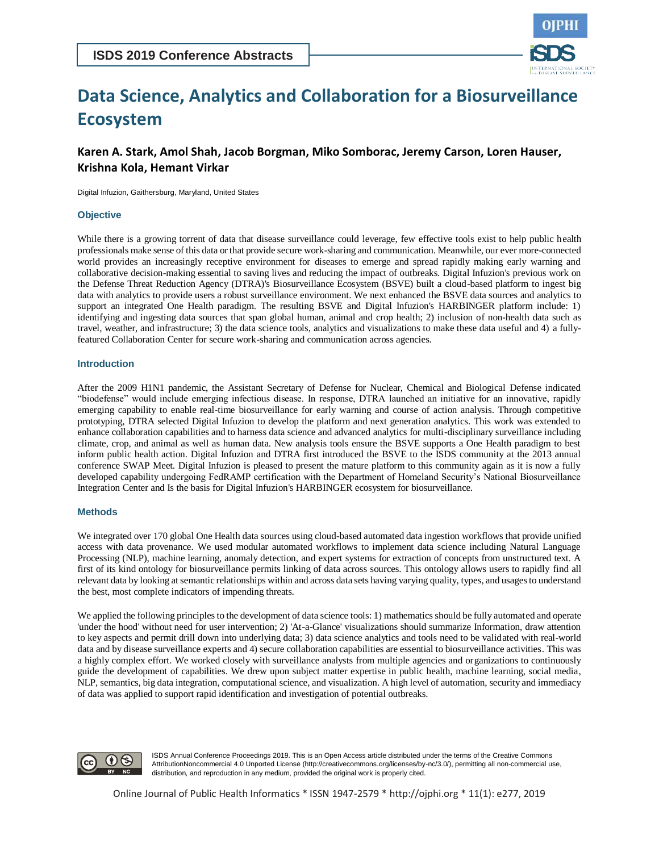

# **Data Science, Analytics and Collaboration for a Biosurveillance Ecosystem**

# **Karen A. Stark, Amol Shah, Jacob Borgman, Miko Somborac, Jeremy Carson, Loren Hauser, Krishna Kola, Hemant Virkar**

Digital Infuzion, Gaithersburg, Maryland, United States

#### **Objective**

While there is a growing torrent of data that disease surveillance could leverage, few effective tools exist to help public health professionals make sense of this data or that provide secure work-sharing and communication. Meanwhile, our ever more-connected world provides an increasingly receptive environment for diseases to emerge and spread rapidly making early warning and collaborative decision-making essential to saving lives and reducing the impact of outbreaks. Digital Infuzion's previous work on the Defense Threat Reduction Agency (DTRA)'s Biosurveillance Ecosystem (BSVE) built a cloud-based platform to ingest big data with analytics to provide users a robust surveillance environment. We next enhanced the BSVE data sources and analytics to support an integrated One Health paradigm. The resulting BSVE and Digital Infuzion's HARBINGER platform include: 1) identifying and ingesting data sources that span global human, animal and crop health; 2) inclusion of non-health data such as travel, weather, and infrastructure; 3) the data science tools, analytics and visualizations to make these data useful and 4) a fullyfeatured Collaboration Center for secure work-sharing and communication across agencies.

# **Introduction**

After the 2009 H1N1 pandemic, the Assistant Secretary of Defense for Nuclear, Chemical and Biological Defense indicated "biodefense" would include emerging infectious disease. In response, DTRA launched an initiative for an innovative, rapidly emerging capability to enable real-time biosurveillance for early warning and course of action analysis. Through competitive prototyping, DTRA selected Digital Infuzion to develop the platform and next generation analytics. This work was extended to enhance collaboration capabilities and to harness data science and advanced analytics for multi-disciplinary surveillance including climate, crop, and animal as well as human data. New analysis tools ensure the BSVE supports a One Health paradigm to best inform public health action. Digital Infuzion and DTRA first introduced the BSVE to the ISDS community at the 2013 annual conference SWAP Meet. Digital Infuzion is pleased to present the mature platform to this community again as it is now a fully developed capability undergoing FedRAMP certification with the Department of Homeland Security's National Biosurveillance Integration Center and Is the basis for Digital Infuzion's HARBINGER ecosystem for biosurveillance.

# **Methods**

We integrated over 170 global One Health data sources using cloud-based automated data ingestion workflows that provide unified access with data provenance. We used modular automated workflows to implement data science including Natural Language Processing (NLP), machine learning, anomaly detection, and expert systems for extraction of concepts from unstructured text. A first of its kind ontology for biosurveillance permits linking of data across sources. This ontology allows users to rapidly find all relevant data by looking at semantic relationships within and across data sets having varying quality, types, and usages to understand the best, most complete indicators of impending threats.

We applied the following principles to the development of data science tools: 1) mathematics should be fully automated and operate 'under the hood' without need for user intervention; 2) 'At-a-Glance' visualizations should summarize Information, draw attention to key aspects and permit drill down into underlying data; 3) data science analytics and tools need to be validated with real-world data and by disease surveillance experts and 4) secure collaboration capabilities are essential to biosurveillance activities. This was a highly complex effort. We worked closely with surveillance analysts from multiple agencies and organizations to continuously guide the development of capabilities. We drew upon subject matter expertise in public health, machine learning, social media, NLP, semantics, big data integration, computational science, and visualization. A high level of automation, security and immediacy of data was applied to support rapid identification and investigation of potential outbreaks.



ISDS Annual Conference Proceedings 2019. This is an Open Access article distributed under the terms of the Creative Commons AttributionNoncommercial 4.0 Unported License (http://creativecommons.org/licenses/by-nc/3.0/), permitting all non-commercial use, distribution, and reproduction in any medium, provided the original work is properly cited.